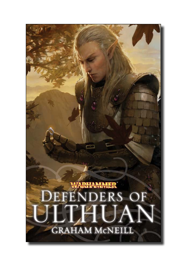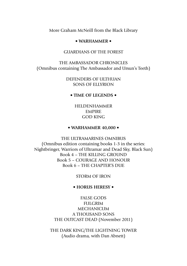More Graham McNeill from the Black Library

### • **WARHAMMER** •

### GUARDIANS OF THE FOREST

THE AMBASSADOR CHRONICLES (Omnibus containing The Ambassador and Ursun's Teeth)

> DEFENDERS OF ULTHUAN SONS OF ELLYRION

• **TIME OF LEGENDS** •

HELDENHAMMER EMPIRE GOD KING

#### • **WARHAMMER 40,000** •

THE ULTRAMARINES OMNIBUS (Omnibus edition containing books 1-3 in the series: Nightbringer, Warriors of Ultramar and Dead Sky, Black Sun) Book 4 – THE KILLING GROUND Book 5 – COURAGE AND HONOUR Book 6 – THE CHAPTER'S DUE

STORM OF IRON

### • **HORUS HERESY** •

FALSE GODS FULGRIM MECHANICUM A THOUSAND SONS THE OUTCAST DEAD (November 2011)

THE DARK KING/THE LIGHTNING TOWER (Audio drama, with Dan Abnett)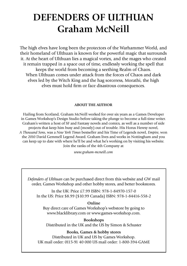# **DEFENDERS OF ULTHUAN Graham McNeill**

The high elves have long been the protectors of the Warhammer World, and their homeland of Ulthuan is known for the powerful magic that surrounds it. At the heart of Ulthuan lies a magical vortex, and the mages who created it remain trapped in a space out of time, endlessly working the spell that keeps the world from becoming a seething Realm of Chaos. When Ulthuan comes under attack from the forces of Chaos and dark elves led by the Witch King and the hag sorceress, Morathi, the high elves must hold firm or face disastrous consequences.

### **ABOUT THE AUTHOR**

Hailing from Scotland, Graham McNeill worked for over six years as a Games Developer in Games Workshop's Design Studio before taking the plunge to become a full-time writer. Graham's written a host of SF and Fantasy novels and comics, as well as a number of side projects that keep him busy and (mostly) out of trouble. His Horus Heresy novel, *A Thousand Sons*, was a *New York Times* bestseller and his Time of Legends novel, *Empire*, won the 2010 David Gemmell Legend Award. Graham lives and works in Nottingham and you can keep up to date with where he'll be and what he's working on by visiting his website. Join the ranks of the 4th Company at

*www.graham-mcneill.com*

*Defenders of Ulthuan* can be purchased direct from this website and GW mail order, Games Workshop and other hobby stores, and better bookstores.

In the UK: Price £7.99 ISBN: 978-1-84970-157-0 In the US: Price \$8.99 (\$10.99 Canada) ISBN: 978-1-84416-558-2

### **Online**

Buy direct care of Games Workshop's webstore by going to www.blacklibrary.com or www.games-workshop.com.

**Bookshops** Distributed in the UK and the US by Simon & Schuster

## **Books, Games & hobby stores**

Distributed in UK and US by Games Workshop. UK mail order: 0115-91 40 000 US mail order: 1-800-394-GAME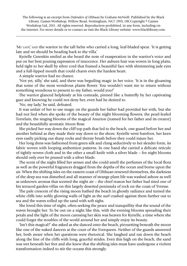The following is an excerpt from *Defenders of Ulthuan* by Graham McNeill. Published by the Black Library. Games Workshop, Willow Road, Nottingham, NG7 2WS, UK.Copyright © Games Workshop Ltd, 2011. All rights reserved. Reproduction prohibited, in any form, including on the internet. For more details or to contact us visit the Black Library website: www.blacklibrary.com.

'My LADY', SAID the warrior in the tall helm who carried a long, leaf-bladed spear. 'It is getting late and we should be heading back to the villa.'

Kyrielle Greenkin smiled as she heard the note of exasperation in the warrior's voice and put on her best pouting expression of innocence. Her auburn hair was woven in long plaits, held tight to her skull by silver cord that framed a beautiful face with shimmering jade eyes and a full-lipped mouth that could charm even the hardest heart.

A simple warrior had no chance.

'Not yet, silly,' she said, and there was beguiling magic in her voice. 'It is in the gloaming that some of the most wondrous plants flower. You wouldn't want me to return without something wondrous to present to my father, would you?'

The warrior glanced helplessly at his comrade, pinned like a butterfly by her captivating gaze and knowing he could not deny her, even had he desired to.

'No, my lady,' he said, defeated.

It was unfair of her to use magic on the guards her father had provided her with, but she had not lied when she spoke of the beauty of the night blooming flowers; the pearl-leafed Torrelain, the singing blooms of the magical Anurion (named for her father and its creator) and the beautifully aromatic Moon Rose.

She picked her way down the cliff top path that led to the beach, one guard before her and another behind as they made their way down to the shore. Kyrielle went barefoot, her keen eyes easily picking out sharp rocks and thorny brush before they could injure her.

Her long dress was fashioned from green silk and clung seductively to her slender form, its fabric woven with looping anthemion patterns. In one hand she carried a delicate reticule of tightly woven cloth and in the other a small knife with a silver blade – for night blooms should only ever be pruned with a silver blade.

The scent of the night filled her senses and she could smell the perfumes of the local flora as well as the powerful fragrances dragged from the depths of the ocean and borne upon the air. When the shifting isles on the eastern coast of Ulthuan renewed themselves, the darkness of the deep sea was disturbed and all manner of strange plant life was washed ashore as well as unknown aromas that scented the night air – the chief reason her father had sited one of his terraced garden-villas on this largely deserted peninsula of rock on the coast of Yvresse.

The pale crescent of the rising moon bathed the beach in ghostly radiance and turned the white cliffs into softly glowing walls of light as the surf crashed against them further out to sea and the waves rolled up the sand with soft sighs.

She loved this time of night, often seeking the peace and tranquillity that the sound of the waves brought her. To be out on a night like this, with the evening blooms spreading their petals and the light of the moon caressing her skin was heaven for Kyrielle, a time where she could forget the troubles of the world around her and simply enjoy its beauty.

'Isn't this magical?' she asked as she danced onto the beach, pirouetting beneath the moon like one of the naked dancers at the court of the Everqueen. Neither of the guards answered her, both aware when her questions were rhetorical. She laughed and ran down the beach along the line of the cliffs with long, graceful strides. Even this high on the beach, the sand was wet beneath her feet and she knew that the shifting isles must have undergone a violent transformation indeed to stir the oceans this strongly.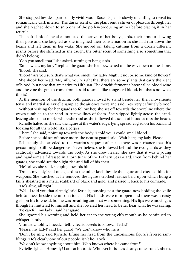She stopped beside a particularly vivid Moon Rose, its petals slowly uncurling to reveal its romantically dark interior. The dusky scent of the plant sent a shiver of pleasure through her and she reached down to snip one of the pollen-producing anther before placing it in her reticule.

The soft clink of metal announced the arrival of her bodyguards, their armour slowing their pace and she laughed as she imagined their consternation as she had run down the beach and left them in her wake. She moved on, taking cuttings from a dozen different plants before she stiffened as she caught the bitter scent of something else, something that didn't belong.

'Can you smell that?' she asked, turning to her guards.

'Smell what, my lady?' replied the guard she had bewitched on the way down to the shore. 'Blood,' she said.

'Blood? Are you sure that's what you smell, my lady? Might it not be some kind of flower?' She shook her head. 'No, silly. You're right that there are some plants that carry the scent of blood, but none that are native to Ulthuan. The druchii ferment a brew called blood wine and the vine the grapes come from is said to smell like congealed blood, but that's not what this is.'

At the mention of the druchii, both guards moved to stand beside her, their movements tense and martial as Kyrielle sampled the air once more and said, 'Yes, very definitely blood.'

Without waiting for her guards to follow her, she set off towards the shoreline where the waves tumbled to the sand in cursive lines of foam. She skipped lightly across the sand, leaving almost no marks where she trod as she followed the scent of blood across the beach.

Kyrielle halted as she saw the figure at the water's edge, lying spread-eagled on his back and looking for all the world like a corpse.

'There!' she said, pointing towards the body. 'I told you I could smell blood.'

Before she could set off once more, the nearest guard said, 'Wait here, my lady. Please.'

Reluctantly she acceded to the warrior's request; after all, there was a chance that this person might still be dangerous. Nevertheless, she followed behind the two guards as they cautiously advanced towards the body. As she drew nearer, she saw that it was a young and handsome elf dressed in a torn tunic of the Lothern Sea Guard. Even from behind her guards, she could see the slight rise and fall of his chest.

'He's alive,' she said, stepping towards him.

'Don't, my lady,' said one guard as the other knelt beside the figure and checked him for weapons. She watched as he removed the figure's cracked leather belt, upon which hung a knife sheathed in a metal scabbard of black and gold, and passed it back to his comrade.

'He's alive, all right.'

'Well, I told you that already,' said Kyrielle, pushing past the guard now holding the knife belt to kneel beside the unconscious elf. His hands were torn open and there was a nasty gash on his forehead, but he was breathing and that was something. His lips were moving as though he muttered to himself and she lowered her head to better hear what he was saying.

'Be careful, my lady!' said her guard.

She ignored his warning and held her ear to the young elf's mouth as he continued to whisper faintly.

'…must… told… I need… tell… Teclis. Needs to know… Teclis!'

'Please, my lady!' said her guard. 'We don't know who he is.'

'Don't be silly,' said Kyrielle, lifting her head from the unconscious figure's fevered ramblings. 'He's clearly one of our people, isn't he? Look!'

'We don't know anything about him. Who knows where he came from?'

Kyrielle sighed. 'Honestly! Look at his tunic. Whoever he is, he's clearly come from Lothern.